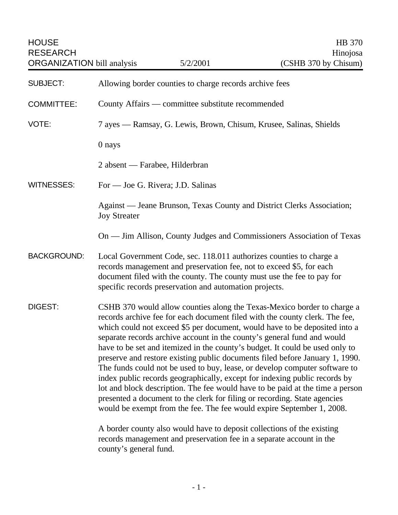| <b>HOUSE</b><br><b>RESEARCH</b><br><b>ORGANIZATION bill analysis</b> |                                                                    | 5/2/2001                                               | HB 370<br>Hinojosa<br>(CSHB 370 by Chisum)                                                                                                                                                                                                                                                                                                                                                                                                                                                                                                                                                                                                                                                                                                                                                                                                                                                                                                                   |
|----------------------------------------------------------------------|--------------------------------------------------------------------|--------------------------------------------------------|--------------------------------------------------------------------------------------------------------------------------------------------------------------------------------------------------------------------------------------------------------------------------------------------------------------------------------------------------------------------------------------------------------------------------------------------------------------------------------------------------------------------------------------------------------------------------------------------------------------------------------------------------------------------------------------------------------------------------------------------------------------------------------------------------------------------------------------------------------------------------------------------------------------------------------------------------------------|
| <b>SUBJECT:</b>                                                      | Allowing border counties to charge records archive fees            |                                                        |                                                                                                                                                                                                                                                                                                                                                                                                                                                                                                                                                                                                                                                                                                                                                                                                                                                                                                                                                              |
| <b>COMMITTEE:</b>                                                    |                                                                    | County Affairs — committee substitute recommended      |                                                                                                                                                                                                                                                                                                                                                                                                                                                                                                                                                                                                                                                                                                                                                                                                                                                                                                                                                              |
| VOTE:                                                                | 7 ayes — Ramsay, G. Lewis, Brown, Chisum, Krusee, Salinas, Shields |                                                        |                                                                                                                                                                                                                                                                                                                                                                                                                                                                                                                                                                                                                                                                                                                                                                                                                                                                                                                                                              |
|                                                                      | 0 nays                                                             |                                                        |                                                                                                                                                                                                                                                                                                                                                                                                                                                                                                                                                                                                                                                                                                                                                                                                                                                                                                                                                              |
|                                                                      | 2 absent — Farabee, Hilderbran                                     |                                                        |                                                                                                                                                                                                                                                                                                                                                                                                                                                                                                                                                                                                                                                                                                                                                                                                                                                                                                                                                              |
| <b>WITNESSES:</b>                                                    | For — Joe G. Rivera; J.D. Salinas                                  |                                                        |                                                                                                                                                                                                                                                                                                                                                                                                                                                                                                                                                                                                                                                                                                                                                                                                                                                                                                                                                              |
|                                                                      | <b>Joy Streater</b>                                                |                                                        | Against — Jeane Brunson, Texas County and District Clerks Association;                                                                                                                                                                                                                                                                                                                                                                                                                                                                                                                                                                                                                                                                                                                                                                                                                                                                                       |
|                                                                      |                                                                    |                                                        | On — Jim Allison, County Judges and Commissioners Association of Texas                                                                                                                                                                                                                                                                                                                                                                                                                                                                                                                                                                                                                                                                                                                                                                                                                                                                                       |
| <b>BACKGROUND:</b>                                                   |                                                                    | specific records preservation and automation projects. | Local Government Code, sec. 118.011 authorizes counties to charge a<br>records management and preservation fee, not to exceed \$5, for each<br>document filed with the county. The county must use the fee to pay for                                                                                                                                                                                                                                                                                                                                                                                                                                                                                                                                                                                                                                                                                                                                        |
| DIGEST:                                                              |                                                                    |                                                        | CSHB 370 would allow counties along the Texas-Mexico border to charge a<br>records archive fee for each document filed with the county clerk. The fee,<br>which could not exceed \$5 per document, would have to be deposited into a<br>separate records archive account in the county's general fund and would<br>have to be set and itemized in the county's budget. It could be used only to<br>preserve and restore existing public documents filed before January 1, 1990.<br>The funds could not be used to buy, lease, or develop computer software to<br>index public records geographically, except for indexing public records by<br>lot and block description. The fee would have to be paid at the time a person<br>presented a document to the clerk for filing or recording. State agencies<br>would be exempt from the fee. The fee would expire September 1, 2008.<br>A border county also would have to deposit collections of the existing |

records management and preservation fee in a separate account in the county's general fund.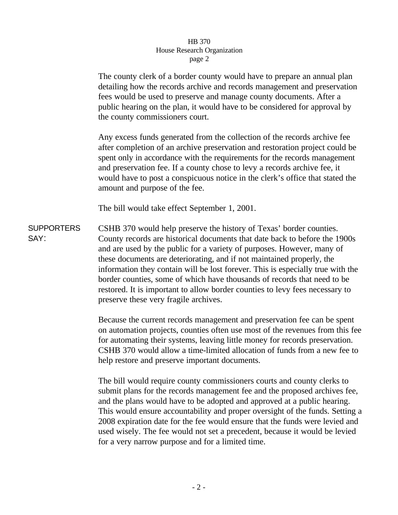## HB 370 House Research Organization page 2

The county clerk of a border county would have to prepare an annual plan detailing how the records archive and records management and preservation fees would be used to preserve and manage county documents. After a public hearing on the plan, it would have to be considered for approval by the county commissioners court.

Any excess funds generated from the collection of the records archive fee after completion of an archive preservation and restoration project could be spent only in accordance with the requirements for the records management and preservation fee. If a county chose to levy a records archive fee, it would have to post a conspicuous notice in the clerk's office that stated the amount and purpose of the fee.

The bill would take effect September 1, 2001.

SUPPORTERS SAY: CSHB 370 would help preserve the history of Texas' border counties. County records are historical documents that date back to before the 1900s and are used by the public for a variety of purposes. However, many of these documents are deteriorating, and if not maintained properly, the information they contain will be lost forever. This is especially true with the border counties, some of which have thousands of records that need to be restored. It is important to allow border counties to levy fees necessary to preserve these very fragile archives.

> Because the current records management and preservation fee can be spent on automation projects, counties often use most of the revenues from this fee for automating their systems, leaving little money for records preservation. CSHB 370 would allow a time-limited allocation of funds from a new fee to help restore and preserve important documents.

> The bill would require county commissioners courts and county clerks to submit plans for the records management fee and the proposed archives fee, and the plans would have to be adopted and approved at a public hearing. This would ensure accountability and proper oversight of the funds. Setting a 2008 expiration date for the fee would ensure that the funds were levied and used wisely. The fee would not set a precedent, because it would be levied for a very narrow purpose and for a limited time.